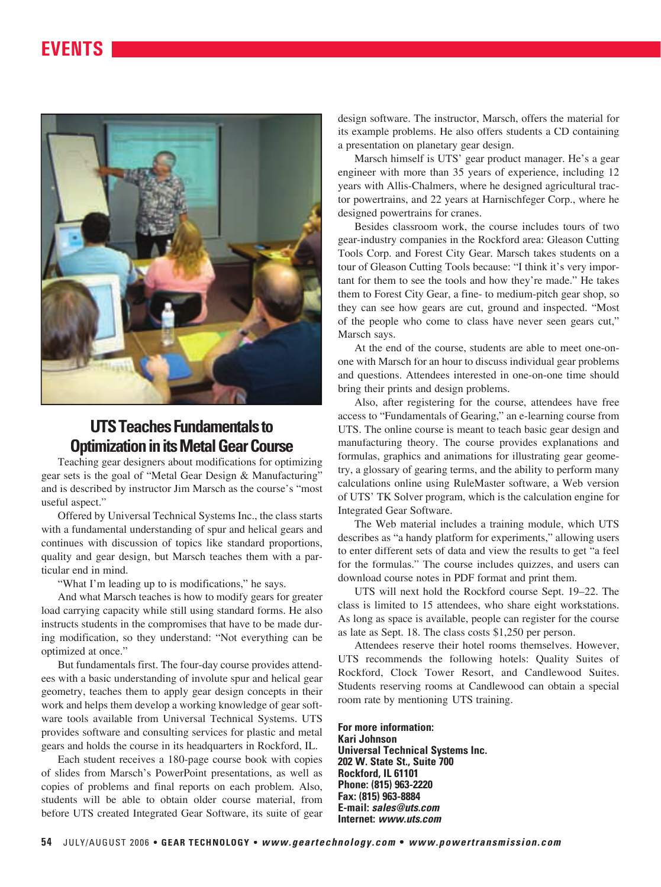## **EVENTS**



### **UTS Teaches Fundamentals to Optimization in its Metal Gear Course**

Teaching gear designers about modifications for optimizing gear sets is the goal of "Metal Gear Design & Manufacturing" and is described by instructor Jim Marsch as the course's "most useful aspect."

Offered by Universal Technical Systems Inc., the class starts with a fundamental understanding of spur and helical gears and continues with discussion of topics like standard proportions, quality and gear design, but Marsch teaches them with a particular end in mind.

"What I'm leading up to is modifications," he says.

And what Marsch teaches is how to modify gears for greater load carrying capacity while still using standard forms. He also instructs students in the compromises that have to be made during modification, so they understand: "Not everything can be optimized at once."

But fundamentals first. The four-day course provides attendees with a basic understanding of involute spur and helical gear geometry, teaches them to apply gear design concepts in their work and helps them develop a working knowledge of gear software tools available from Universal Technical Systems. UTS provides software and consulting services for plastic and metal gears and holds the course in its headquarters in Rockford, IL.

Each student receives a 180-page course book with copies of slides from Marsch's PowerPoint presentations, as well as copies of problems and final reports on each problem. Also, students will be able to obtain older course material, from before UTS created Integrated Gear Software, its suite of gear design software. The instructor, Marsch, offers the material for its example problems. He also offers students a CD containing a presentation on planetary gear design.

Marsch himself is UTS' gear product manager. He's a gear engineer with more than 35 years of experience, including 12 years with Allis-Chalmers, where he designed agricultural tractor powertrains, and 22 years at Harnischfeger Corp., where he designed powertrains for cranes.

Besides classroom work, the course includes tours of two gear-industry companies in the Rockford area: Gleason Cutting Tools Corp. and Forest City Gear. Marsch takes students on a tour of Gleason Cutting Tools because: "I think it's very important for them to see the tools and how they're made." He takes them to Forest City Gear, a fine- to medium-pitch gear shop, so they can see how gears are cut, ground and inspected. "Most of the people who come to class have never seen gears cut," Marsch says.

At the end of the course, students are able to meet one-onone with Marsch for an hour to discuss individual gear problems and questions. Attendees interested in one-on-one time should bring their prints and design problems.

Also, after registering for the course, attendees have free access to "Fundamentals of Gearing," an e-learning course from UTS. The online course is meant to teach basic gear design and manufacturing theory. The course provides explanations and formulas, graphics and animations for illustrating gear geometry, a glossary of gearing terms, and the ability to perform many calculations online using RuleMaster software, a Web version of UTS' TK Solver program, which is the calculation engine for Integrated Gear Software.

The Web material includes a training module, which UTS describes as "a handy platform for experiments," allowing users to enter different sets of data and view the results to get "a feel for the formulas." The course includes quizzes, and users can download course notes in PDF format and print them.

UTS will next hold the Rockford course Sept. 19–22. The class is limited to 15 attendees, who share eight workstations. As long as space is available, people can register for the course as late as Sept. 18. The class costs \$1,250 per person.

Attendees reserve their hotel rooms themselves. However, UTS recommends the following hotels: Quality Suites of Rockford, Clock Tower Resort, and Candlewood Suites. Students reserving rooms at Candlewood can obtain a special room rate by mentioning UTS training.

**For more information: Kari Johnson Universal Technical Systems Inc. 202 W. State St., Suite 700 Rockford, IL 61101 Phone: (815) 963-2220 Fax: (815) 963-8884 E-mail: sales@uts.com Internet: www.uts.com**